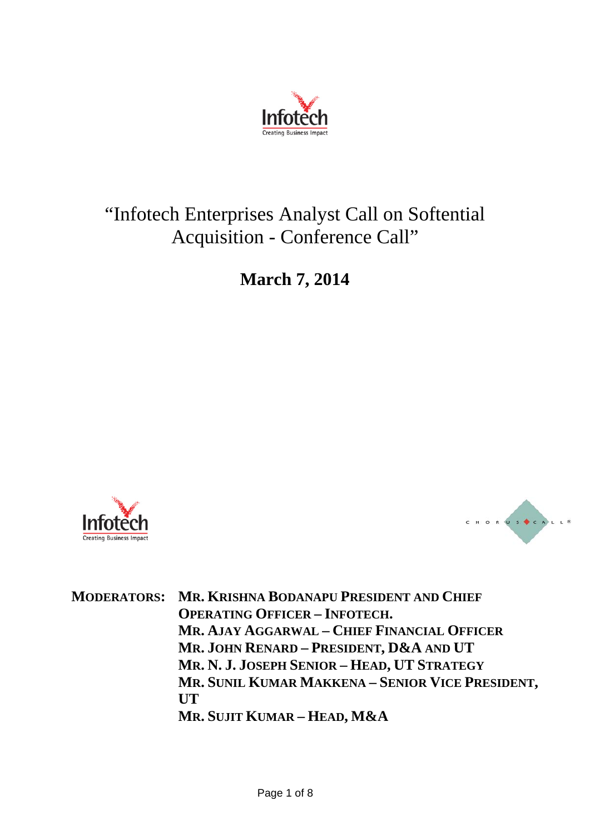

# "Infotech Enterprises Analyst Call on Softential Acquisition - Conference Call"

# **March 7, 2014**





**MODERATORS: MR. KRISHNA BODANAPU PRESIDENT AND CHIEF OPERATING OFFICER – INFOTECH. MR. AJAY AGGARWAL – CHIEF FINANCIAL OFFICER MR. JOHN RENARD – PRESIDENT, D&A AND UT MR. N. J. JOSEPH SENIOR – HEAD, UT STRATEGY MR. SUNIL KUMAR MAKKENA – SENIOR VICE PRESIDENT, UT MR. SUJIT KUMAR – HEAD, M&A**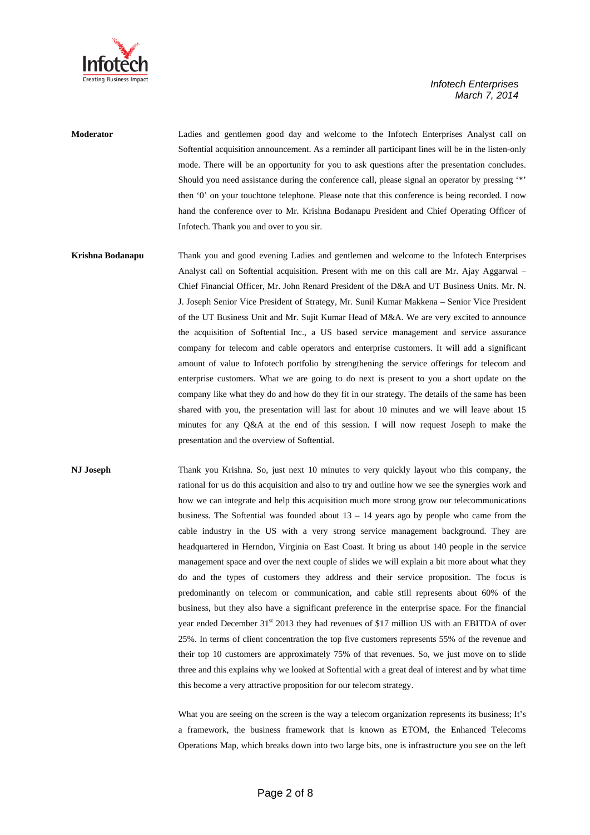

**Moderator** Ladies and gentlemen good day and welcome to the Infotech Enterprises Analyst call on Softential acquisition announcement. As a reminder all participant lines will be in the listen-only mode. There will be an opportunity for you to ask questions after the presentation concludes. Should you need assistance during the conference call, please signal an operator by pressing '\*' then '0' on your touchtone telephone. Please note that this conference is being recorded. I now hand the conference over to Mr. Krishna Bodanapu President and Chief Operating Officer of Infotech. Thank you and over to you sir.

**Krishna Bodanapu** Thank you and good evening Ladies and gentlemen and welcome to the Infotech Enterprises Analyst call on Softential acquisition. Present with me on this call are Mr. Ajay Aggarwal – Chief Financial Officer, Mr. John Renard President of the D&A and UT Business Units. Mr. N. J. Joseph Senior Vice President of Strategy, Mr. Sunil Kumar Makkena – Senior Vice President of the UT Business Unit and Mr. Sujit Kumar Head of M&A. We are very excited to announce the acquisition of Softential Inc., a US based service management and service assurance company for telecom and cable operators and enterprise customers. It will add a significant amount of value to Infotech portfolio by strengthening the service offerings for telecom and enterprise customers. What we are going to do next is present to you a short update on the company like what they do and how do they fit in our strategy. The details of the same has been shared with you, the presentation will last for about 10 minutes and we will leave about 15 minutes for any Q&A at the end of this session. I will now request Joseph to make the presentation and the overview of Softential.

**NJ Joseph** Thank you Krishna. So, just next 10 minutes to very quickly layout who this company, the rational for us do this acquisition and also to try and outline how we see the synergies work and how we can integrate and help this acquisition much more strong grow our telecommunications business. The Softential was founded about  $13 - 14$  years ago by people who came from the cable industry in the US with a very strong service management background. They are headquartered in Herndon, Virginia on East Coast. It bring us about 140 people in the service management space and over the next couple of slides we will explain a bit more about what they do and the types of customers they address and their service proposition. The focus is predominantly on telecom or communication, and cable still represents about 60% of the business, but they also have a significant preference in the enterprise space. For the financial year ended December 31<sup>st</sup> 2013 they had revenues of \$17 million US with an EBITDA of over 25%. In terms of client concentration the top five customers represents 55% of the revenue and their top 10 customers are approximately 75% of that revenues. So, we just move on to slide three and this explains why we looked at Softential with a great deal of interest and by what time this become a very attractive proposition for our telecom strategy.

> What you are seeing on the screen is the way a telecom organization represents its business; It's a framework, the business framework that is known as ETOM, the Enhanced Telecoms Operations Map, which breaks down into two large bits, one is infrastructure you see on the left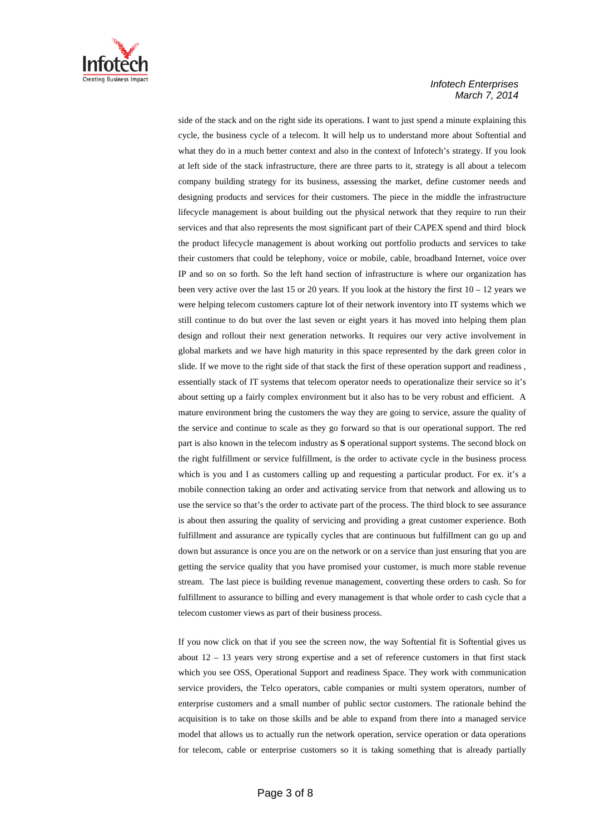

side of the stack and on the right side its operations. I want to just spend a minute explaining this cycle, the business cycle of a telecom. It will help us to understand more about Softential and what they do in a much better context and also in the context of Infotech's strategy. If you look at left side of the stack infrastructure, there are three parts to it, strategy is all about a telecom company building strategy for its business, assessing the market, define customer needs and designing products and services for their customers. The piece in the middle the infrastructure lifecycle management is about building out the physical network that they require to run their services and that also represents the most significant part of their CAPEX spend and third block the product lifecycle management is about working out portfolio products and services to take their customers that could be telephony, voice or mobile, cable, broadband Internet, voice over IP and so on so forth. So the left hand section of infrastructure is where our organization has been very active over the last 15 or 20 years. If you look at the history the first  $10 - 12$  years we were helping telecom customers capture lot of their network inventory into IT systems which we still continue to do but over the last seven or eight years it has moved into helping them plan design and rollout their next generation networks. It requires our very active involvement in global markets and we have high maturity in this space represented by the dark green color in slide. If we move to the right side of that stack the first of these operation support and readiness , essentially stack of IT systems that telecom operator needs to operationalize their service so it's about setting up a fairly complex environment but it also has to be very robust and efficient. A mature environment bring the customers the way they are going to service, assure the quality of the service and continue to scale as they go forward so that is our operational support. The red part is also known in the telecom industry as **S** operational support systems. The second block on the right fulfillment or service fulfillment, is the order to activate cycle in the business process which is you and I as customers calling up and requesting a particular product. For ex. it's a mobile connection taking an order and activating service from that network and allowing us to use the service so that's the order to activate part of the process. The third block to see assurance is about then assuring the quality of servicing and providing a great customer experience. Both fulfillment and assurance are typically cycles that are continuous but fulfillment can go up and down but assurance is once you are on the network or on a service than just ensuring that you are getting the service quality that you have promised your customer, is much more stable revenue stream. The last piece is building revenue management, converting these orders to cash. So for fulfillment to assurance to billing and every management is that whole order to cash cycle that a telecom customer views as part of their business process.

If you now click on that if you see the screen now, the way Softential fit is Softential gives us about  $12 - 13$  years very strong expertise and a set of reference customers in that first stack which you see OSS, Operational Support and readiness Space. They work with communication service providers, the Telco operators, cable companies or multi system operators, number of enterprise customers and a small number of public sector customers. The rationale behind the acquisition is to take on those skills and be able to expand from there into a managed service model that allows us to actually run the network operation, service operation or data operations for telecom, cable or enterprise customers so it is taking something that is already partially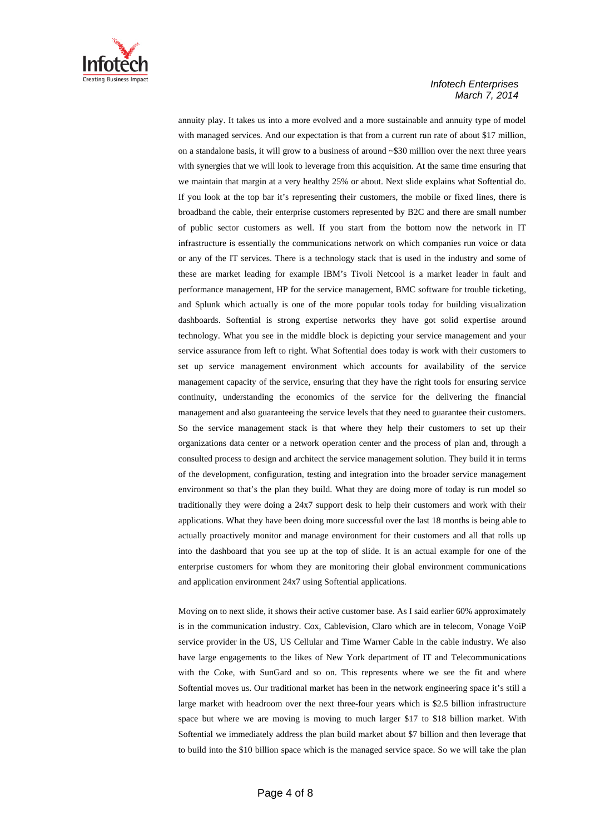

annuity play. It takes us into a more evolved and a more sustainable and annuity type of model with managed services. And our expectation is that from a current run rate of about \$17 million, on a standalone basis, it will grow to a business of around ~\$30 million over the next three years with synergies that we will look to leverage from this acquisition. At the same time ensuring that we maintain that margin at a very healthy 25% or about. Next slide explains what Softential do. If you look at the top bar it's representing their customers, the mobile or fixed lines, there is broadband the cable, their enterprise customers represented by B2C and there are small number of public sector customers as well. If you start from the bottom now the network in IT infrastructure is essentially the communications network on which companies run voice or data or any of the IT services. There is a technology stack that is used in the industry and some of these are market leading for example IBM's Tivoli Netcool is a market leader in fault and performance management, HP for the service management, BMC software for trouble ticketing, and Splunk which actually is one of the more popular tools today for building visualization dashboards. Softential is strong expertise networks they have got solid expertise around technology. What you see in the middle block is depicting your service management and your service assurance from left to right. What Softential does today is work with their customers to set up service management environment which accounts for availability of the service management capacity of the service, ensuring that they have the right tools for ensuring service continuity, understanding the economics of the service for the delivering the financial management and also guaranteeing the service levels that they need to guarantee their customers. So the service management stack is that where they help their customers to set up their organizations data center or a network operation center and the process of plan and, through a consulted process to design and architect the service management solution. They build it in terms of the development, configuration, testing and integration into the broader service management environment so that's the plan they build. What they are doing more of today is run model so traditionally they were doing a 24x7 support desk to help their customers and work with their applications. What they have been doing more successful over the last 18 months is being able to actually proactively monitor and manage environment for their customers and all that rolls up into the dashboard that you see up at the top of slide. It is an actual example for one of the enterprise customers for whom they are monitoring their global environment communications and application environment 24x7 using Softential applications.

Moving on to next slide, it shows their active customer base. As I said earlier 60% approximately is in the communication industry. Cox, Cablevision, Claro which are in telecom, Vonage VoiP service provider in the US, US Cellular and Time Warner Cable in the cable industry. We also have large engagements to the likes of New York department of IT and Telecommunications with the Coke, with SunGard and so on. This represents where we see the fit and where Softential moves us. Our traditional market has been in the network engineering space it's still a large market with headroom over the next three-four years which is \$2.5 billion infrastructure space but where we are moving is moving to much larger \$17 to \$18 billion market. With Softential we immediately address the plan build market about \$7 billion and then leverage that to build into the \$10 billion space which is the managed service space. So we will take the plan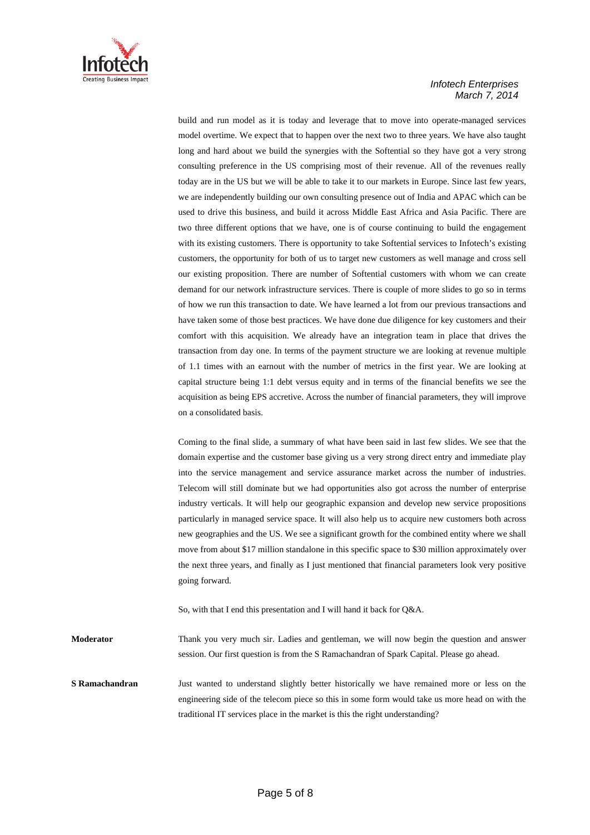

build and run model as it is today and leverage that to move into operate-managed services model overtime. We expect that to happen over the next two to three years. We have also taught long and hard about we build the synergies with the Softential so they have got a very strong consulting preference in the US comprising most of their revenue. All of the revenues really today are in the US but we will be able to take it to our markets in Europe. Since last few years, we are independently building our own consulting presence out of India and APAC which can be used to drive this business, and build it across Middle East Africa and Asia Pacific. There are two three different options that we have, one is of course continuing to build the engagement with its existing customers. There is opportunity to take Softential services to Infotech's existing customers, the opportunity for both of us to target new customers as well manage and cross sell our existing proposition. There are number of Softential customers with whom we can create demand for our network infrastructure services. There is couple of more slides to go so in terms of how we run this transaction to date. We have learned a lot from our previous transactions and have taken some of those best practices. We have done due diligence for key customers and their comfort with this acquisition. We already have an integration team in place that drives the transaction from day one. In terms of the payment structure we are looking at revenue multiple of 1.1 times with an earnout with the number of metrics in the first year. We are looking at capital structure being 1:1 debt versus equity and in terms of the financial benefits we see the acquisition as being EPS accretive. Across the number of financial parameters, they will improve on a consolidated basis.

Coming to the final slide, a summary of what have been said in last few slides. We see that the domain expertise and the customer base giving us a very strong direct entry and immediate play into the service management and service assurance market across the number of industries. Telecom will still dominate but we had opportunities also got across the number of enterprise industry verticals. It will help our geographic expansion and develop new service propositions particularly in managed service space. It will also help us to acquire new customers both across new geographies and the US. We see a significant growth for the combined entity where we shall move from about \$17 million standalone in this specific space to \$30 million approximately over the next three years, and finally as I just mentioned that financial parameters look very positive going forward.

So, with that I end this presentation and I will hand it back for Q&A.

**Moderator** Thank you very much sir. Ladies and gentleman, we will now begin the question and answer session. Our first question is from the S Ramachandran of Spark Capital. Please go ahead.

**S Ramachandran Just wanted to understand slightly better historically we have remained more or less on the** engineering side of the telecom piece so this in some form would take us more head on with the traditional IT services place in the market is this the right understanding?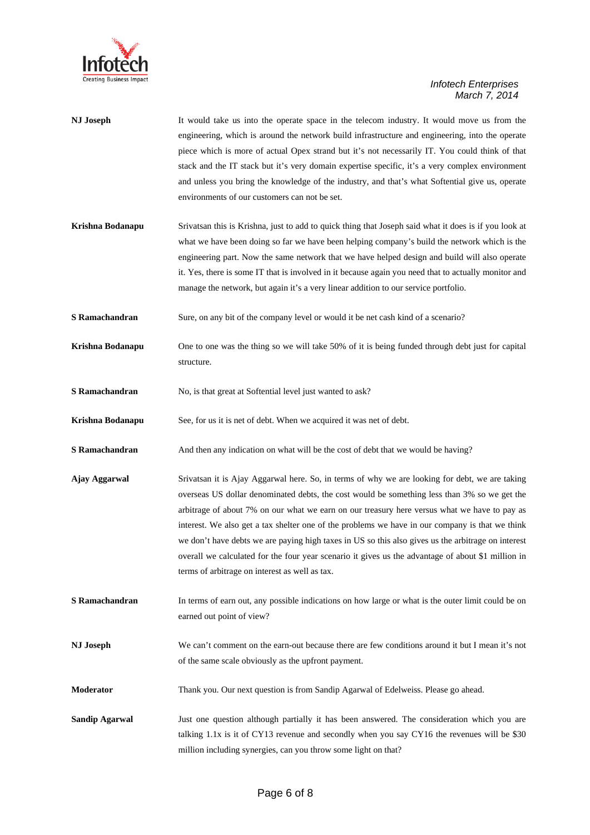

| NJ Joseph             | It would take us into the operate space in the telecom industry. It would move us from the<br>engineering, which is around the network build infrastructure and engineering, into the operate<br>piece which is more of actual Opex strand but it's not necessarily IT. You could think of that<br>stack and the IT stack but it's very domain expertise specific, it's a very complex environment<br>and unless you bring the knowledge of the industry, and that's what Softential give us, operate<br>environments of our customers can not be set.                                                                                                          |
|-----------------------|-----------------------------------------------------------------------------------------------------------------------------------------------------------------------------------------------------------------------------------------------------------------------------------------------------------------------------------------------------------------------------------------------------------------------------------------------------------------------------------------------------------------------------------------------------------------------------------------------------------------------------------------------------------------|
| Krishna Bodanapu      | Srivatsan this is Krishna, just to add to quick thing that Joseph said what it does is if you look at<br>what we have been doing so far we have been helping company's build the network which is the<br>engineering part. Now the same network that we have helped design and build will also operate<br>it. Yes, there is some IT that is involved in it because again you need that to actually monitor and<br>manage the network, but again it's a very linear addition to our service portfolio.                                                                                                                                                           |
| S Ramachandran        | Sure, on any bit of the company level or would it be net cash kind of a scenario?                                                                                                                                                                                                                                                                                                                                                                                                                                                                                                                                                                               |
| Krishna Bodanapu      | One to one was the thing so we will take 50% of it is being funded through debt just for capital<br>structure.                                                                                                                                                                                                                                                                                                                                                                                                                                                                                                                                                  |
| S Ramachandran        | No, is that great at Softential level just wanted to ask?                                                                                                                                                                                                                                                                                                                                                                                                                                                                                                                                                                                                       |
| Krishna Bodanapu      | See, for us it is net of debt. When we acquired it was net of debt.                                                                                                                                                                                                                                                                                                                                                                                                                                                                                                                                                                                             |
| S Ramachandran        | And then any indication on what will be the cost of debt that we would be having?                                                                                                                                                                                                                                                                                                                                                                                                                                                                                                                                                                               |
| <b>Ajay Aggarwal</b>  | Srivatsan it is Ajay Aggarwal here. So, in terms of why we are looking for debt, we are taking<br>overseas US dollar denominated debts, the cost would be something less than 3% so we get the<br>arbitrage of about 7% on our what we earn on our treasury here versus what we have to pay as<br>interest. We also get a tax shelter one of the problems we have in our company is that we think<br>we don't have debts we are paying high taxes in US so this also gives us the arbitrage on interest<br>overall we calculated for the four year scenario it gives us the advantage of about \$1 million in<br>terms of arbitrage on interest as well as tax. |
| S Ramachandran        | In terms of earn out, any possible indications on how large or what is the outer limit could be on<br>earned out point of view?                                                                                                                                                                                                                                                                                                                                                                                                                                                                                                                                 |
| NJ Joseph             | We can't comment on the earn-out because there are few conditions around it but I mean it's not<br>of the same scale obviously as the upfront payment.                                                                                                                                                                                                                                                                                                                                                                                                                                                                                                          |
| Moderator             | Thank you. Our next question is from Sandip Agarwal of Edelweiss. Please go ahead.                                                                                                                                                                                                                                                                                                                                                                                                                                                                                                                                                                              |
| <b>Sandip Agarwal</b> | Just one question although partially it has been answered. The consideration which you are<br>talking 1.1x is it of CY13 revenue and secondly when you say CY16 the revenues will be \$30                                                                                                                                                                                                                                                                                                                                                                                                                                                                       |

million including synergies, can you throw some light on that?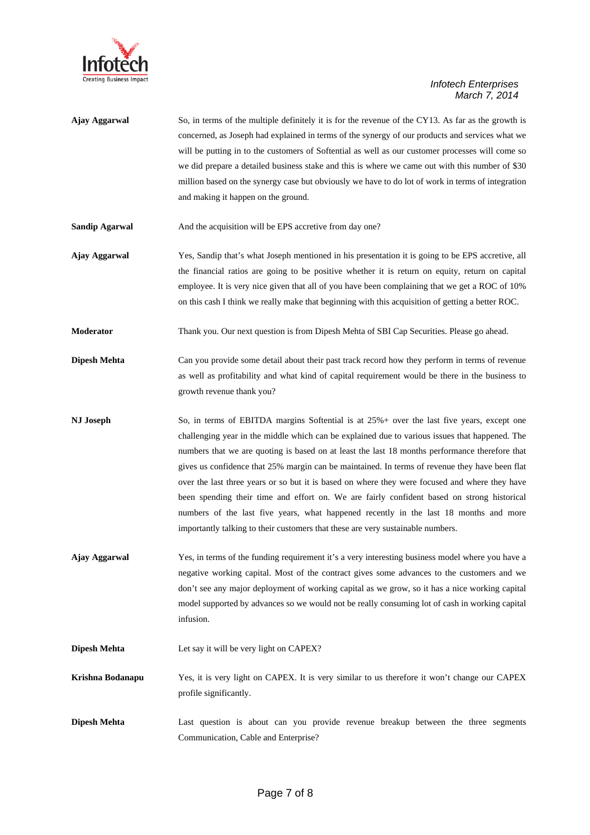

- **Ajay Aggarwal** So, in terms of the multiple definitely it is for the revenue of the CY13. As far as the growth is concerned, as Joseph had explained in terms of the synergy of our products and services what we will be putting in to the customers of Softential as well as our customer processes will come so we did prepare a detailed business stake and this is where we came out with this number of \$30 million based on the synergy case but obviously we have to do lot of work in terms of integration and making it happen on the ground.
- **Sandip Agarwal** And the acquisition will be EPS accretive from day one?
- **Ajay Aggarwal** Yes, Sandip that's what Joseph mentioned in his presentation it is going to be EPS accretive, all the financial ratios are going to be positive whether it is return on equity, return on capital employee. It is very nice given that all of you have been complaining that we get a ROC of 10% on this cash I think we really make that beginning with this acquisition of getting a better ROC.
- **Moderator** Thank you. Our next question is from Dipesh Mehta of SBI Cap Securities. Please go ahead.
- **Dipesh Mehta** Can you provide some detail about their past track record how they perform in terms of revenue as well as profitability and what kind of capital requirement would be there in the business to growth revenue thank you?
- **NJ Joseph** So, in terms of EBITDA margins Softential is at 25% + over the last five years, except one challenging year in the middle which can be explained due to various issues that happened. The numbers that we are quoting is based on at least the last 18 months performance therefore that gives us confidence that 25% margin can be maintained. In terms of revenue they have been flat over the last three years or so but it is based on where they were focused and where they have been spending their time and effort on. We are fairly confident based on strong historical numbers of the last five years, what happened recently in the last 18 months and more importantly talking to their customers that these are very sustainable numbers.
- **Ajay Aggarwal** Yes, in terms of the funding requirement it's a very interesting business model where you have a negative working capital. Most of the contract gives some advances to the customers and we don't see any major deployment of working capital as we grow, so it has a nice working capital model supported by advances so we would not be really consuming lot of cash in working capital infusion.
- **Dipesh Mehta** Let say it will be very light on CAPEX?

**Krishna Bodanapu** Yes, it is very light on CAPEX. It is very similar to us therefore it won't change our CAPEX profile significantly.

**Dipesh Mehta** Last question is about can you provide revenue breakup between the three segments Communication, Cable and Enterprise?